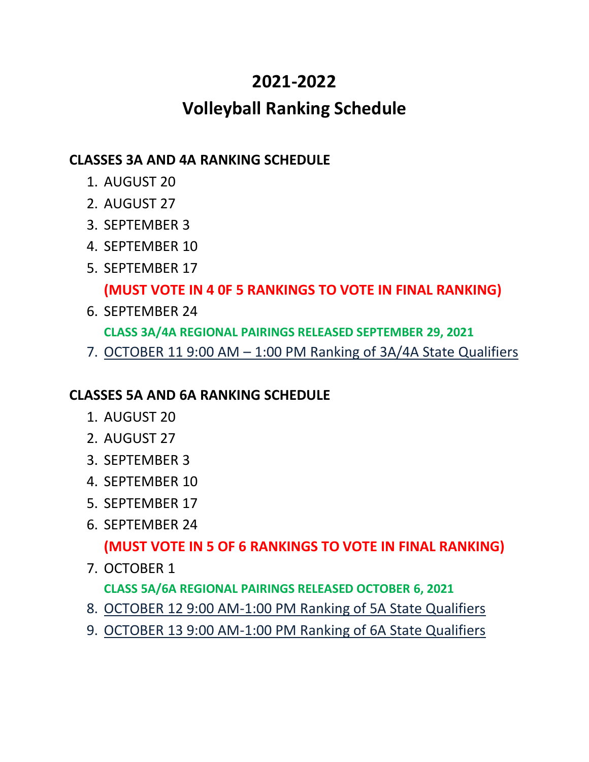# **2021-2022**

# **Volleyball Ranking Schedule**

### **CLASSES 3A AND 4A RANKING SCHEDULE**

- 1. AUGUST 20
- 2. AUGUST 27
- 3. SEPTEMBER 3
- 4. SEPTEMBER 10
- 5. SEPTEMBER 17

# **(MUST VOTE IN 4 0F 5 RANKINGS TO VOTE IN FINAL RANKING)**

- 6. SEPTEMBER 24 **CLASS 3A/4A REGIONAL PAIRINGS RELEASED SEPTEMBER 29, 2021**
- 7. OCTOBER 11 9:00 AM 1:00 PM Ranking of 3A/4A State Qualifiers

## **CLASSES 5A AND 6A RANKING SCHEDULE**

- 1. AUGUST 20
- 2. AUGUST 27
- 3. SEPTEMBER 3
- 4. SEPTEMBER 10
- 5. SEPTEMBER 17
- 6. SEPTEMBER 24

## **(MUST VOTE IN 5 OF 6 RANKINGS TO VOTE IN FINAL RANKING)**

7. OCTOBER 1

**CLASS 5A/6A REGIONAL PAIRINGS RELEASED OCTOBER 6, 2021**

- 8. OCTOBER 12 9:00 AM-1:00 PM Ranking of 5A State Qualifiers
- 9. OCTOBER 13 9:00 AM-1:00 PM Ranking of 6A State Qualifiers